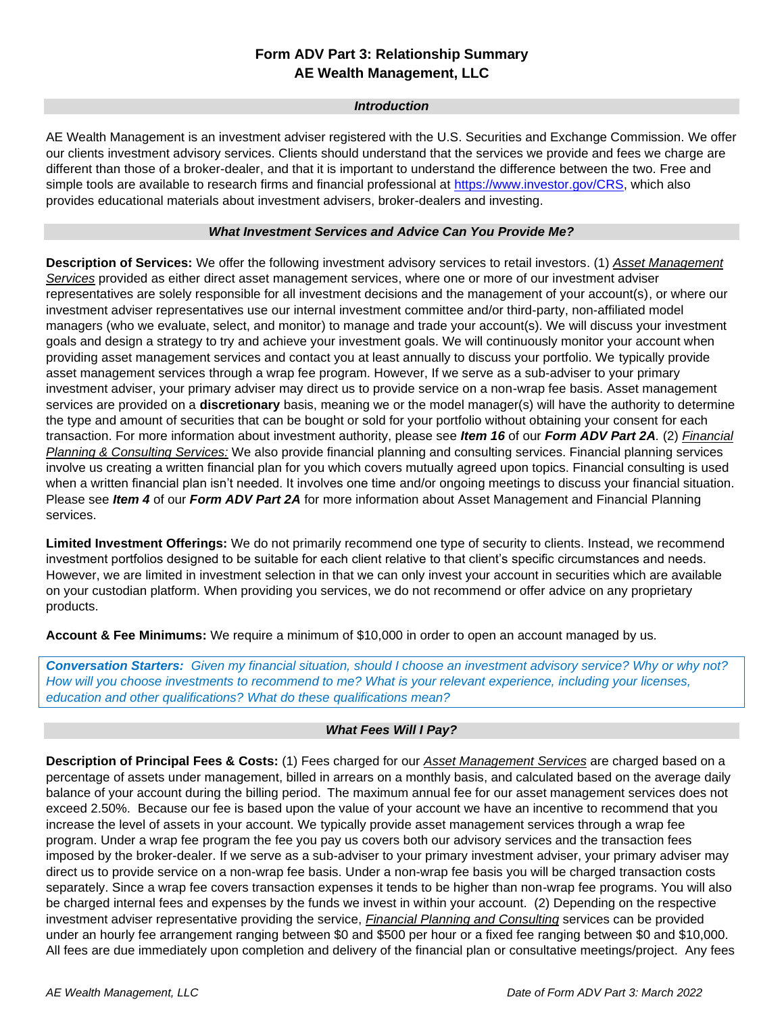# **Form ADV Part 3: Relationship Summary AE Wealth Management, LLC**

#### *Introduction*

AE Wealth Management is an investment adviser registered with the U.S. Securities and Exchange Commission. We offer our clients investment advisory services. Clients should understand that the services we provide and fees we charge are different than those of a broker-dealer, and that it is important to understand the difference between the two. Free and simple tools are available to research firms and financial professional at [https://www.investor.gov/CRS,](https://www.investor.gov/CRS) which also provides educational materials about investment advisers, broker-dealers and investing.

### *What Investment Services and Advice Can You Provide Me?*

**Description of Services:** We offer the following investment advisory services to retail investors. (1) *Asset Management Services* provided as either direct asset management services, where one or more of our investment adviser representatives are solely responsible for all investment decisions and the management of your account(s), or where our investment adviser representatives use our internal investment committee and/or third-party, non-affiliated model managers (who we evaluate, select, and monitor) to manage and trade your account(s). We will discuss your investment goals and design a strategy to try and achieve your investment goals. We will continuously monitor your account when providing asset management services and contact you at least annually to discuss your portfolio. We typically provide asset management services through a wrap fee program. However, If we serve as a sub-adviser to your primary investment adviser, your primary adviser may direct us to provide service on a non-wrap fee basis. Asset management services are provided on a **discretionary** basis, meaning we or the model manager(s) will have the authority to determine the type and amount of securities that can be bought or sold for your portfolio without obtaining your consent for each transaction. For more information about investment authority, please see *Item 16* of our *Form ADV Part 2A.* (2) *Financial Planning & Consulting Services:* We also provide financial planning and consulting services. Financial planning services involve us creating a written financial plan for you which covers mutually agreed upon topics. Financial consulting is used when a written financial plan isn't needed. It involves one time and/or ongoing meetings to discuss your financial situation. Please see *Item 4* of our *Form ADV Part 2A* for more information about Asset Management and Financial Planning services.

**Limited Investment Offerings:** We do not primarily recommend one type of security to clients. Instead, we recommend investment portfolios designed to be suitable for each client relative to that client's specific circumstances and needs. However, we are limited in investment selection in that we can only invest your account in securities which are available on your custodian platform. When providing you services, we do not recommend or offer advice on any proprietary products.

**Account & Fee Minimums:** We require a minimum of \$10,000 in order to open an account managed by us.

*Conversation Starters: Given my financial situation, should I choose an investment advisory service? Why or why not? How will you choose investments to recommend to me? What is your relevant experience, including your licenses, education and other qualifications? What do these qualifications mean?*

## *What Fees Will I Pay?*

**Description of Principal Fees & Costs:** (1) Fees charged for our *Asset Management Services* are charged based on a percentage of assets under management, billed in arrears on a monthly basis, and calculated based on the average daily balance of your account during the billing period. The maximum annual fee for our asset management services does not exceed 2.50%. Because our fee is based upon the value of your account we have an incentive to recommend that you increase the level of assets in your account. We typically provide asset management services through a wrap fee program. Under a wrap fee program the fee you pay us covers both our advisory services and the transaction fees imposed by the broker-dealer. If we serve as a sub-adviser to your primary investment adviser, your primary adviser may direct us to provide service on a non-wrap fee basis. Under a non-wrap fee basis you will be charged transaction costs separately. Since a wrap fee covers transaction expenses it tends to be higher than non-wrap fee programs. You will also be charged internal fees and expenses by the funds we invest in within your account. (2) Depending on the respective investment adviser representative providing the service, *Financial Planning and Consulting* services can be provided under an hourly fee arrangement ranging between \$0 and \$500 per hour or a fixed fee ranging between \$0 and \$10,000. All fees are due immediately upon completion and delivery of the financial plan or consultative meetings/project. Any fees